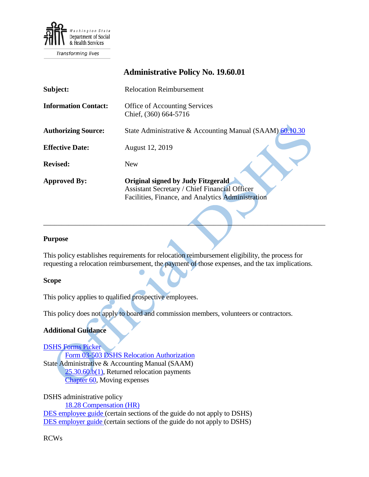

Transforming lives

# **Administrative Policy No. 19.60.01**

| Subject:                    | <b>Relocation Reimbursement</b>                                                                                                                        |
|-----------------------------|--------------------------------------------------------------------------------------------------------------------------------------------------------|
| <b>Information Contact:</b> | <b>Office of Accounting Services</b><br>Chief, (360) 664-5716                                                                                          |
| <b>Authorizing Source:</b>  | State Administrative & Accounting Manual (SAAM) 60.10.30                                                                                               |
| <b>Effective Date:</b>      | August 12, 2019                                                                                                                                        |
| <b>Revised:</b>             | <b>New</b>                                                                                                                                             |
| <b>Approved By:</b>         | <b>Original signed by Judy Fitzgerald</b><br><b>Assistant Secretary / Chief Financial Officer</b><br>Facilities, Finance, and Analytics Administration |

#### **Purpose**

This policy establishes requirements for relocation reimbursement eligibility, the process for requesting a relocation reimbursement, the payment of those expenses, and the tax implications.

 $\overline{\phantom{a}}$  , and the contract of the contract of the contract of the contract of the contract of the contract of the contract of the contract of the contract of the contract of the contract of the contract of the contrac

#### **Scope**

This policy applies to qualified prospective employees.

This policy does not apply to board and commission members, volunteers or contractors.

#### **Additional Guidance**

[DSHS Forms Picker](http://forms.dshs.wa.lcl/) Form 03-503 DSHS Relocation Authorization State Administrative & Accounting Manual (SAAM) [25.30.60.b\(1\),](https://www.ofm.wa.gov/sites/default/files/public/legacy/policy/25.30.htm#25.30.60) Returned relocation payments [Chapter 60,](https://www.ofm.wa.gov/sites/default/files/public/legacy/policy/60.htm) Moving expenses

DSHS administrative policy [18.28](http://one.dshs.wa.lcl/Policies/Administrative/DSHS-AP-18-28.pdf) Compensation (HR) [DES employee guide](http://des.wa.gov/sites/default/files/public/documents/ContractingPurchasing/EmployeeMovingGuide.pdf) (certain sections of the guide do not apply to DSHS) [DES employer guide](https://des.wa.gov/sites/default/files/public/documents/ContractingPurchasing/AgencyGuideOnMoves.pdf?=0fd6e) (certain sections of the guide do not apply to DSHS)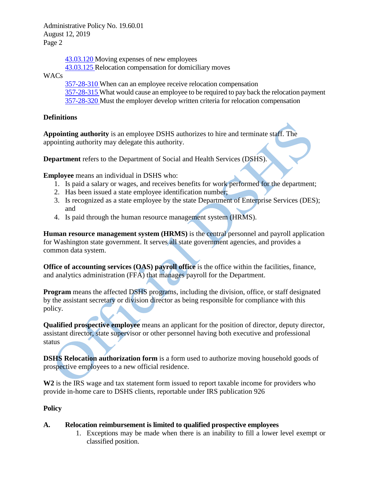Administrative Policy No. 19.60.01 August 12, 2019 Page 2

> [43.03.120](http://apps.leg.wa.gov/RCW/default.aspx?cite=43.03.120) Moving expenses of new employees [43.03.125](http://apps.leg.wa.gov/RCW/default.aspx?cite=43.03.125) Relocation compensation for domiciliary moves

WACs

[357-28-310](http://apps.leg.wa.gov/WAC/default.aspx?cite=357-28-310) When can an employee receive relocation compensation [357-28-315](http://apps.leg.wa.gov/WAC/default.aspx?cite=357-28-315) What would cause an employee to be required to pay back the relocation payment [357-28-320](http://apps.leg.wa.gov/WAC/default.aspx?cite=357-28-320) Must the employer develop written criteria for relocation compensation

# **Definitions**

**Appointing authority** is an employee DSHS authorizes to hire and terminate staff. The appointing authority may delegate this authority.

**Department** refers to the Department of Social and Health Services (DSHS).

**Employee** means an individual in DSHS who:

- 1. Is paid a salary or wages, and receives benefits for work performed for the department;
- 2. Has been issued a state employee identification number;
- 3. Is recognized as a state employee by the state Department of Enterprise Services (DES); and
- 4. Is paid through the human resource management system (HRMS).

**Human resource management system (HRMS)** is the central personnel and payroll application for Washington state government. It serves all state government agencies, and provides a common data system.

**Office of accounting services (OAS) payroll office** is the office within the facilities, finance, and analytics administration (FFA) that manages payroll for the Department.

**Program** means the affected DSHS programs, including the division, office, or staff designated by the assistant secretary or division director as being responsible for compliance with this policy.

**Qualified prospective employee** means an applicant for the position of director, deputy director, assistant director, state supervisor or other personnel having both executive and professional status

**DSHS Relocation authorization form** is a form used to authorize moving household goods of prospective employees to a new official residence.

**W2** is the IRS wage and tax statement form issued to report taxable income for providers who provide in-home care to DSHS clients, reportable under IRS publication 926

# **Policy**

# **A. Relocation reimbursement is limited to qualified prospective employees**

1. Exceptions may be made when there is an inability to fill a lower level exempt or classified position.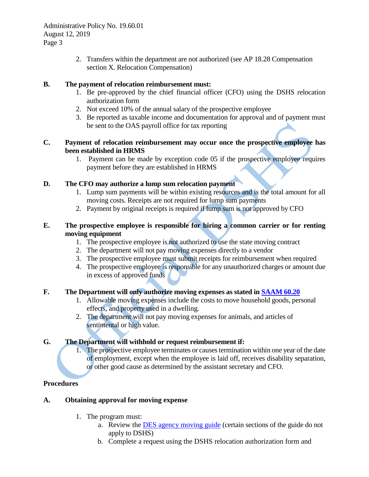Administrative Policy No. 19.60.01 August 12, 2019 Page 3

> 2. Transfers within the department are not authorized (see AP 18.28 Compensation section X. Relocation Compensation)

#### **B. The payment of relocation reimbursement must:**

- 1. Be pre-approved by the chief financial officer (CFO) using the DSHS relocation authorization form
- 2. Not exceed 10% of the annual salary of the prospective employee
- 3. Be reported as taxable income and documentation for approval and of payment must be sent to the OAS payroll office for tax reporting

#### **C. Payment of relocation reimbursement may occur once the prospective employee has been established in HRMS**

1. Payment can be made by exception code 05 if the prospective employee requires payment before they are established in HRMS

# **D. The CFO may authorize a lump sum relocation payment**

- 1. Lump sum payments will be within existing resources and is the total amount for all moving costs. Receipts are not required for lump sum payments
- 2. Payment by original receipts is required if lump sum is not approved by CFO

### **E. The prospective employee is responsible for hiring a common carrier or for renting moving equipment**

- 1. The prospective employee is not authorized to use the state moving contract
- 2. The department will not pay moving expenses directly to a vendor
- 3. The prospective employee must submit receipts for reimbursement when required
- 4. The prospective employee is responsible for any unauthorized charges or amount due in excess of approved funds

# **F. The Department will only authorize moving expenses as stated i[n SAAM 60.20](https://www.ofm.wa.gov/sites/default/files/public/legacy/policy/60.20.htm)**

- 1. Allowable moving expenses include the costs to move household goods, personal effects, and property used in a dwelling.
- 2. The department will not pay moving expenses for animals, and articles of sentimental or high value.

# **G. The Department will withhold or request reimbursement if:**

1. The prospective employee terminates or causes termination within one year of the date of employment, except when the employee is laid off, receives disability separation, or other good cause as determined by the assistant secretary and CFO.

# **Procedures**

#### **A. Obtaining approval for moving expense**

- 1. The program must:
	- a. Review the [DES agency moving guide](https://des.wa.gov/sites/default/files/public/documents/ContractingPurchasing/AgencyGuideOnMoves.pdf?=0fd6e) (certain sections of the guide do not apply to DSHS)
	- b. Complete a request using the DSHS relocation authorization form and